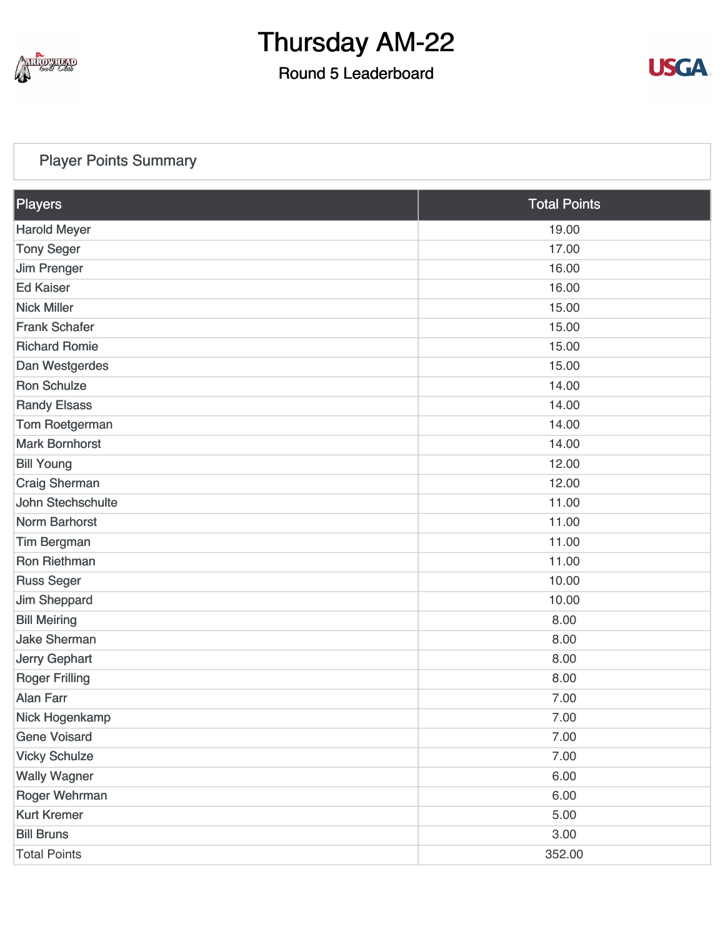

### Round 5 Leaderboard



### [Player Points Summary](https://static.golfgenius.com/v2tournaments/total_points?league_id=8234394788888061414&round_id=8404776559239505284)

| Players               | <b>Total Points</b> |  |  |
|-----------------------|---------------------|--|--|
| <b>Harold Meyer</b>   | 19.00               |  |  |
| <b>Tony Seger</b>     | 17.00               |  |  |
| <b>Jim Prenger</b>    | 16.00               |  |  |
| <b>Ed Kaiser</b>      | 16.00               |  |  |
| <b>Nick Miller</b>    | 15.00               |  |  |
| <b>Frank Schafer</b>  | 15.00               |  |  |
| <b>Richard Romie</b>  | 15.00               |  |  |
| Dan Westgerdes        | 15.00               |  |  |
| <b>Ron Schulze</b>    | 14.00               |  |  |
| <b>Randy Elsass</b>   | 14.00               |  |  |
| Tom Roetgerman        | 14.00               |  |  |
| <b>Mark Bornhorst</b> | 14.00               |  |  |
| <b>Bill Young</b>     | 12.00               |  |  |
| <b>Craig Sherman</b>  | 12.00               |  |  |
| John Stechschulte     | 11.00               |  |  |
| Norm Barhorst         | 11.00               |  |  |
| <b>Tim Bergman</b>    | 11.00               |  |  |
| <b>Ron Riethman</b>   | 11.00               |  |  |
| <b>Russ Seger</b>     | 10.00               |  |  |
| Jim Sheppard          | 10.00               |  |  |
| <b>Bill Meiring</b>   | 8.00                |  |  |
| <b>Jake Sherman</b>   | 8.00                |  |  |
| Jerry Gephart         | 8.00                |  |  |
| <b>Roger Frilling</b> | 8.00                |  |  |
| <b>Alan Farr</b>      | 7.00                |  |  |
| Nick Hogenkamp        | 7.00                |  |  |
| <b>Gene Voisard</b>   | 7.00                |  |  |
| <b>Vicky Schulze</b>  | 7.00                |  |  |
| <b>Wally Wagner</b>   | 6.00                |  |  |
| Roger Wehrman         | 6.00                |  |  |
| <b>Kurt Kremer</b>    | 5.00                |  |  |
| <b>Bill Bruns</b>     | 3.00                |  |  |
| <b>Total Points</b>   | 352.00              |  |  |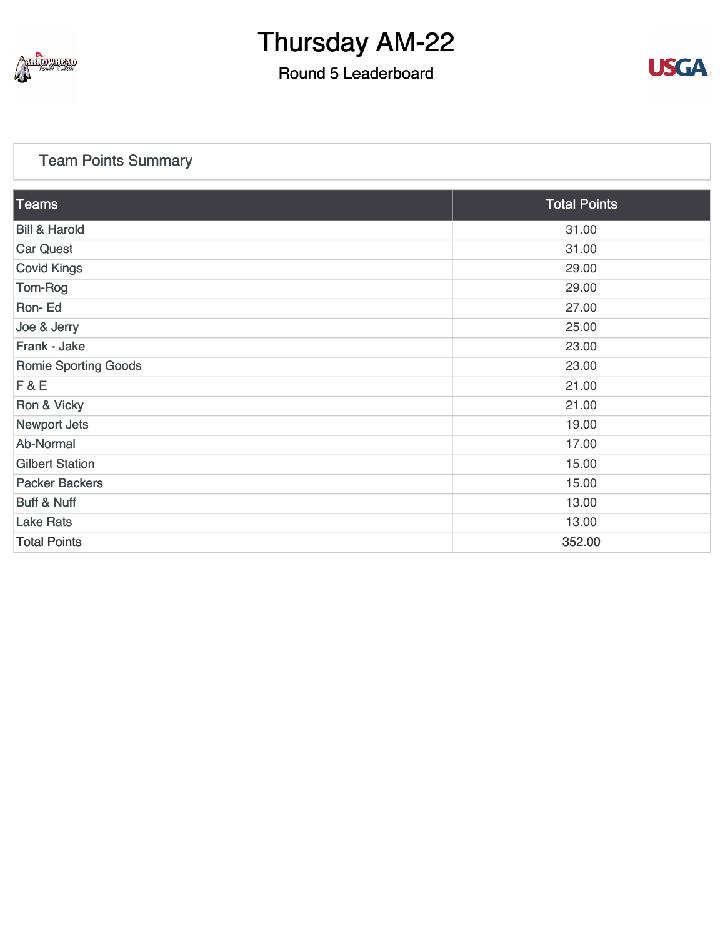

### Round 5 Leaderboard



### [Team Points Summary](https://static.golfgenius.com/v2tournaments/team_points?league_id=8234394788888061414&round_id=8404776559239505284)

| Teams                       | <b>Total Points</b> |
|-----------------------------|---------------------|
| <b>Bill &amp; Harold</b>    | 31.00               |
| <b>Car Quest</b>            | 31.00               |
| <b>Covid Kings</b>          | 29.00               |
| Tom-Rog                     | 29.00               |
| Ron-Ed                      | 27.00               |
| Joe & Jerry                 | 25.00               |
| Frank - Jake                | 23.00               |
| <b>Romie Sporting Goods</b> | 23.00               |
| F & E                       | 21.00               |
| Ron & Vicky                 | 21.00               |
| Newport Jets                | 19.00               |
| Ab-Normal                   | 17.00               |
| <b>Gilbert Station</b>      | 15.00               |
| <b>Packer Backers</b>       | 15.00               |
| <b>Buff &amp; Nuff</b>      | 13.00               |
| <b>Lake Rats</b>            | 13.00               |
| <b>Total Points</b>         | 352.00              |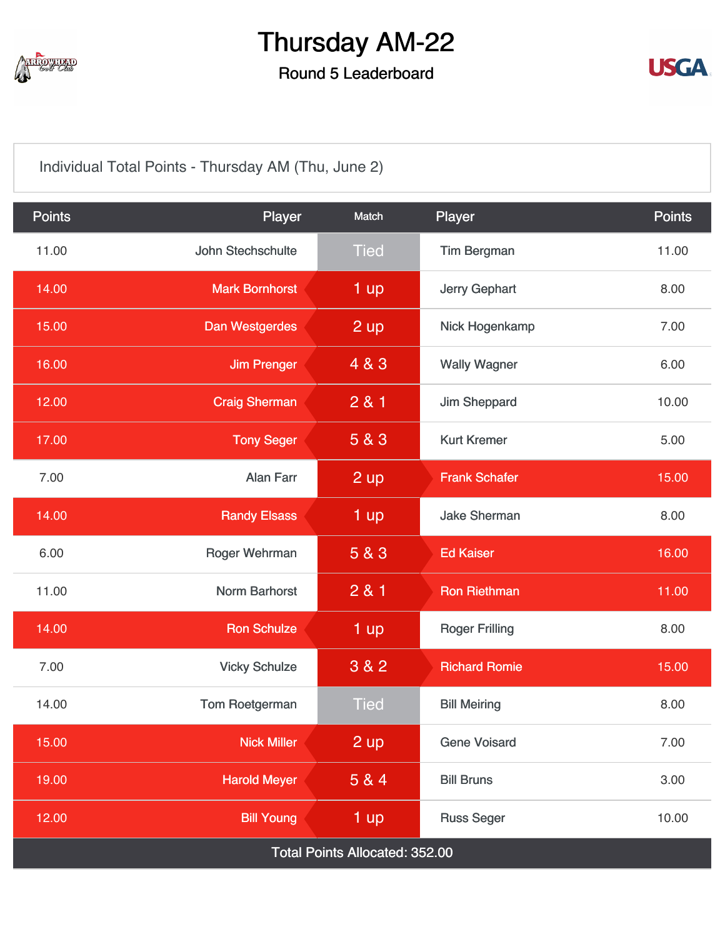

### Round 5 Leaderboard



[Individual Total Points - Thursday AM \(Thu, June 2\)](https://static.golfgenius.com/v2tournaments/8404776882100249883?called_from=&round_index=5)

| <b>Points</b>                  | Player                | Match          | Player                     | <b>Points</b> |  |  |  |
|--------------------------------|-----------------------|----------------|----------------------------|---------------|--|--|--|
| 11.00                          | John Stechschulte     | <b>Tied</b>    | <b>Tim Bergman</b>         | 11.00         |  |  |  |
| 14.00                          | <b>Mark Bornhorst</b> | 1 up           | <b>Jerry Gephart</b>       | 8.00          |  |  |  |
| 15.00                          | Dan Westgerdes        | 2 up           | Nick Hogenkamp             | 7.00          |  |  |  |
| 16.00                          | <b>Jim Prenger</b>    | 4 & 3          | <b>Wally Wagner</b>        | 6.00          |  |  |  |
| 12.00                          | <b>Craig Sherman</b>  | 281            | Jim Sheppard               | 10.00         |  |  |  |
| 17.00                          | <b>Tony Seger</b>     | 5 & 3          | <b>Kurt Kremer</b>         | 5.00          |  |  |  |
| 7.00                           | <b>Alan Farr</b>      | $2 \text{ up}$ | <b>Frank Schafer</b>       | 15.00         |  |  |  |
| 14.00                          | <b>Randy Elsass</b>   | 1 up           | <b>Jake Sherman</b>        | 8.00          |  |  |  |
| 6.00                           | Roger Wehrman         | 5 & 3          | <b>Ed Kaiser</b>           | 16.00         |  |  |  |
| 11.00                          | Norm Barhorst         | 281            | <b>Ron Riethman</b>        | 11.00         |  |  |  |
| 14.00                          | <b>Ron Schulze</b>    | 1 up           | <b>Roger Frilling</b>      | 8.00          |  |  |  |
| 7.00                           | <b>Vicky Schulze</b>  | 3 & 2          | <b>Richard Romie</b>       | 15.00         |  |  |  |
| 14.00                          | Tom Roetgerman        | <b>Tied</b>    | <b>Bill Meiring</b>        | 8.00          |  |  |  |
| 15.00                          | <b>Nick Miller</b>    | 2 up           | <b>Gene Voisard</b>        | 7.00          |  |  |  |
| 19.00                          | <b>Harold Meyer</b>   | 5 & 4          | <b>Bill Bruns</b>          | 3.00          |  |  |  |
| 12.00                          | <b>Bill Young</b>     | 1 up           | <b>Russ Seger</b><br>10.00 |               |  |  |  |
| Total Points Allocated: 352.00 |                       |                |                            |               |  |  |  |